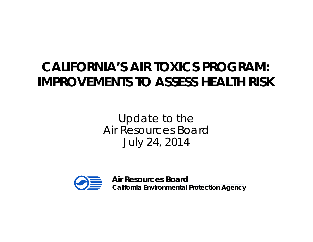#### **CALIFORNIA'S AIR TOXICS PROGRAM: IMPROVEMENTS TO ASSESS HEALTH RISK**

Update to the Air Resources Board July 24, 2014



**Air Resources Board** 

**California Environmental Protection Agency**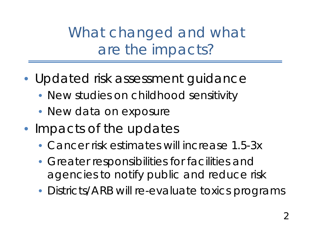What changed and what are the impacts?

- Updated risk assessment guidance
	- New studies on childhood sensitivity
	- New data on exposure
- Impacts of the updates
	- Cancer risk estimates will increase 1.5-3x
	- Greater responsibilities for facilities and agencies to notify public and reduce risk
	- Districts/ARB will re-evaluate toxics programs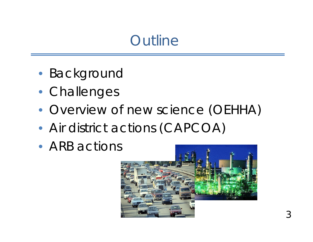### **Outline**

- Background
- Challenges
- Overview of new science (OEHHA)
- Air district actions (CAPCOA)
- ARB actions

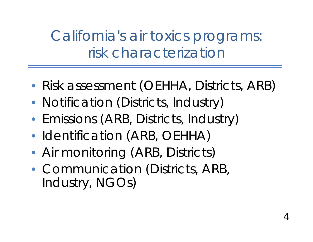California's air toxics programs: risk characterization

- Risk assessment (OEHHA, Districts, ARB)
- Notification (Districts, Industry)
- Emissions (ARB, Districts, Industry)
- Identification (ARB, OEHHA)
- Air monitoring (ARB, Districts)
- Communication (Districts, ARB, Industry, NGOs)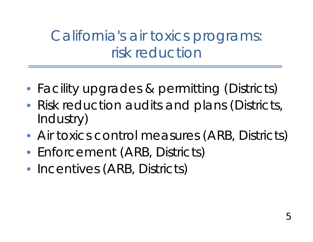# California's air toxics programs: risk reduction

- Facility upgrades & permitting (Districts)
- Risk reduction audits and plans (Districts, Industry)
- Air toxics control measures (ARB, Districts)
- Enforcement (ARB, Districts)
- Incentives (ARB, Districts)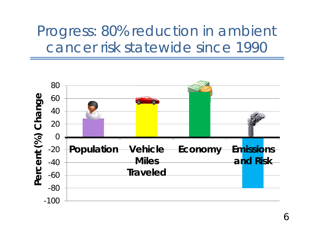Progress: 80% reduction in ambient cancer risk statewide since 1990



6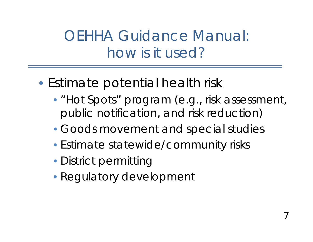# OEHHA Guidance Manual: how is it used?

- Estimate potential health risk
	- "Hot Spots" program (e.g., risk assessment, public notification, and risk reduction)
	- Goods movement and special studies
	- Estimate statewide/community risks
	- District permitting
	- Regulatory development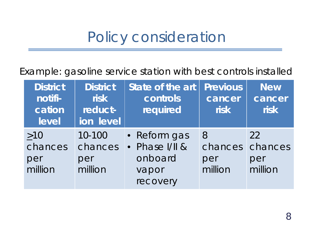## Policy consideration

Example: gasoline service station with best controls installed

| <b>District</b><br>notifi-<br>cation<br>level | <b>District</b><br><b>risk</b><br>reduct-<br>ion level | State of the art<br>controls<br>required | <b>Previous</b><br>cancer<br><b>risk</b> | <b>New</b><br>cancer<br><b>risk</b> |
|-----------------------------------------------|--------------------------------------------------------|------------------------------------------|------------------------------------------|-------------------------------------|
| >10                                           | 10-100                                                 | • Reform gas                             | <b>8</b>                                 | 22                                  |
| chances                                       | chances                                                | • Phase I/II &                           | chances                                  | chances                             |
| per                                           | per                                                    | onboard                                  | per                                      | per                                 |
| million                                       | million                                                | vapor                                    | million                                  | million                             |
|                                               |                                                        | recovery                                 |                                          |                                     |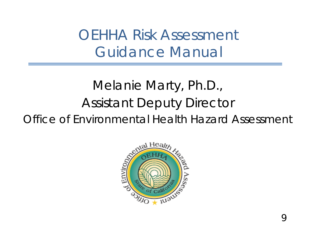OEHHA Risk Assessment Guidance Manual

## Melanie Marty, Ph.D., Assistant Deputy Director Office of Environmental Health Hazard Assessment

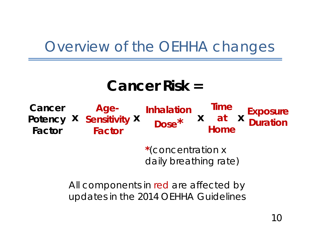## Overview of the OEHHA changes

## **Cancer Risk =**

**Dose** A Duration **Property A Property A Duration**<br>Factor **Factor Home** 

Cancer Age- **Inhalation Time** Exposure<br>Potency X Sensitivity X  $\frac{1}{\text{Dosea}^*}$  X at X Duration

**\***(concentration x daily breathing rate)

**x** at **x** 

All components in red are affected by updates in the 2014 OEHHA Guidelines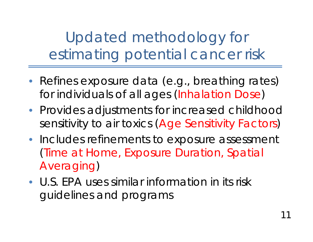Updated methodology for estimating potential cancer risk

- Refines exposure data (e.g., breathing rates) for individuals of all ages (Inhalation Dose)
- Provides adjustments for increased childhood sensitivity to air toxics (Age Sensitivity Factors)
- Includes refinements to exposure assessment (Time at Home, Exposure Duration, Spatial Averaging)
- U.S. EPA uses similar information in its risk guidelines and programs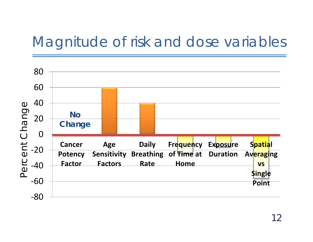## Magnitude of risk and dose variables

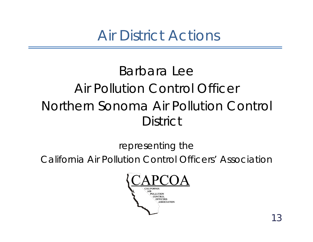Air District Actions

## Barbara Lee Air Pollution Control Officer Northern Sonoma Air Pollution Control **District**

representing the

California Air Pollution Control Officers' Association

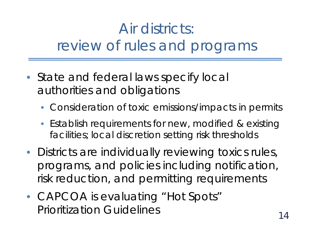# Air districts: review of rules and programs

- State and federal laws specify local authorities and obligations
	- Consideration of toxic emissions/impacts in permits
	- Establish requirements for new, modified & existing facilities; local discretion setting risk thresholds
- Districts are individually reviewing toxics rules, programs, and policies including notification, risk reduction, and permitting requirements
- CAPCOA is evaluating "Hot Spots" Prioritization Guidelines 14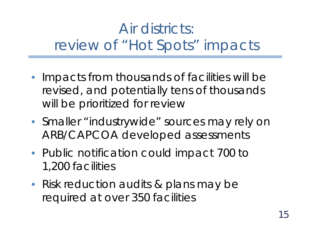# Air districts: review of "Hot Spots" impacts

- Impacts from thousands of facilities will be revised, and potentially tens of thousands will be prioritized for review
- Smaller "industrywide" sources may rely on ARB/CAPCOA developed assessments
- Public notification could impact 700 to 1,200 facilities
- Risk reduction audits & plans may be required at over 350 facilities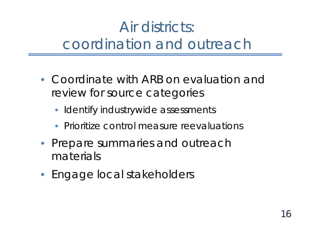# Air districts: coordination and outreach

- Coordinate with ARB on evaluation and review for source categories
	- Identify industrywide assessments
	- Prioritize control measure reevaluations
- Prepare summaries and outreach materials
- Engage local stakeholders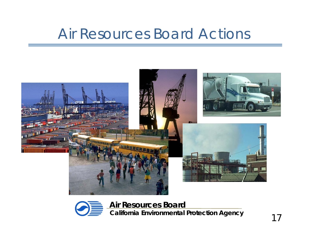## Air Resources Board Actions





**Air Resources Board California Environmental Protection Agency** 17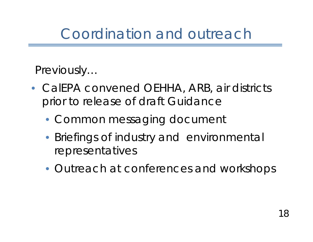## Coordination and outreach

#### *Previously…*

- CalEPA convened OEHHA, ARB, air districts prior to release of draft Guidance
	- Common messaging document
	- Briefings of industry and environmental representatives
	- Outreach at conferences and workshops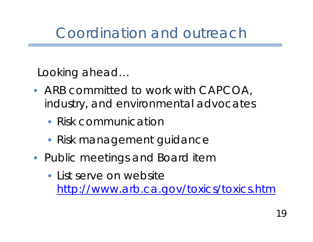## Coordination and outreach

#### *Looking ahead…*

- ARB committed to work with CAPCOA, industry, and environmental advocates
	- Risk communication
	- Risk management guidance
- Public meetings and Board item
	- List serve on website <http://www.arb.ca.gov/toxics/toxics.htm>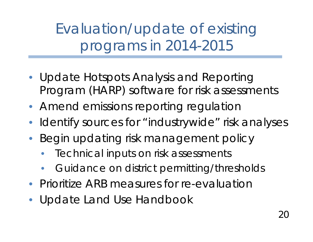Evaluation/update of existing programs in 2014-2015

- Update Hotspots Analysis and Reporting Program (HARP) software for risk assessments
- Amend emissions reporting regulation
- Identify sources for "industrywide" risk analyses
- Begin updating risk management policy
	- Technical inputs on risk assessments
	- Guidance on district permitting/thresholds
- Prioritize ARB measures for re-evaluation
- Update Land Use Handbook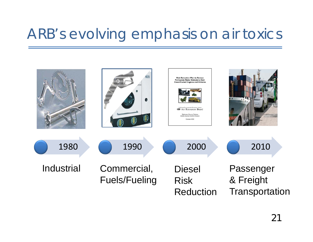## ARB's evolving emphasis on air toxics

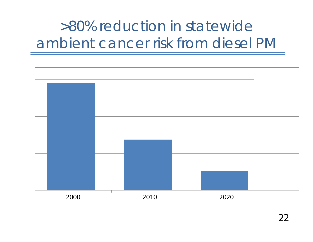# >80% reduction in statewide ambient cancer risk from diesel PM

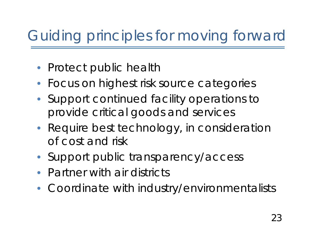# Guiding principles for moving forward

- Protect public health
- Focus on highest risk source categories
- Support continued facility operations to provide critical goods and services
- Require best technology, in consideration of cost and risk
- Support public transparency/access
- Partner with air districts
- Coordinate with industry/environmentalists